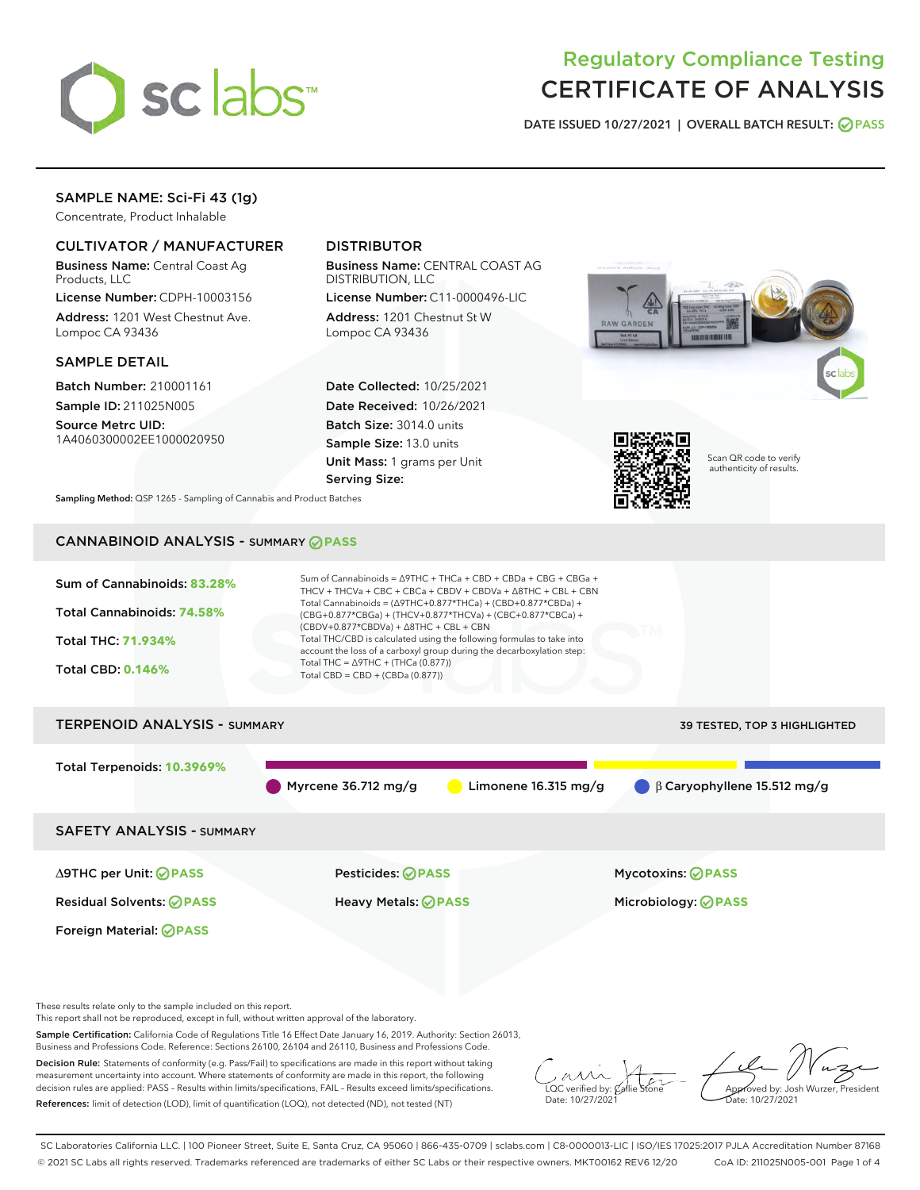

# Regulatory Compliance Testing CERTIFICATE OF ANALYSIS

DATE ISSUED 10/27/2021 | OVERALL BATCH RESULT: @ PASS

## SAMPLE NAME: Sci-Fi 43 (1g)

Concentrate, Product Inhalable

## CULTIVATOR / MANUFACTURER

Business Name: Central Coast Ag Products, LLC

License Number: CDPH-10003156 Address: 1201 West Chestnut Ave. Lompoc CA 93436

#### SAMPLE DETAIL

Batch Number: 210001161 Sample ID: 211025N005

Source Metrc UID: 1A4060300002EE1000020950

## DISTRIBUTOR

Business Name: CENTRAL COAST AG DISTRIBUTION, LLC

License Number: C11-0000496-LIC Address: 1201 Chestnut St W Lompoc CA 93436

Date Collected: 10/25/2021 Date Received: 10/26/2021 Batch Size: 3014.0 units Sample Size: 13.0 units Unit Mass: 1 grams per Unit Serving Size:





Scan QR code to verify authenticity of results.

Sampling Method: QSP 1265 - Sampling of Cannabis and Product Batches

## CANNABINOID ANALYSIS - SUMMARY **PASS**



These results relate only to the sample included on this report.

This report shall not be reproduced, except in full, without written approval of the laboratory.

Sample Certification: California Code of Regulations Title 16 Effect Date January 16, 2019. Authority: Section 26013, Business and Professions Code. Reference: Sections 26100, 26104 and 26110, Business and Professions Code.

Decision Rule: Statements of conformity (e.g. Pass/Fail) to specifications are made in this report without taking measurement uncertainty into account. Where statements of conformity are made in this report, the following decision rules are applied: PASS – Results within limits/specifications, FAIL – Results exceed limits/specifications. References: limit of detection (LOD), limit of quantification (LOQ), not detected (ND), not tested (NT)

 $\overline{\text{C}}$  verified by:  $\mathcal C$ Date: 10/27/2021

Aved by: Josh Wurzer, President Date: 10/27/2021

SC Laboratories California LLC. | 100 Pioneer Street, Suite E, Santa Cruz, CA 95060 | 866-435-0709 | sclabs.com | C8-0000013-LIC | ISO/IES 17025:2017 PJLA Accreditation Number 87168 © 2021 SC Labs all rights reserved. Trademarks referenced are trademarks of either SC Labs or their respective owners. MKT00162 REV6 12/20 CoA ID: 211025N005-001 Page 1 of 4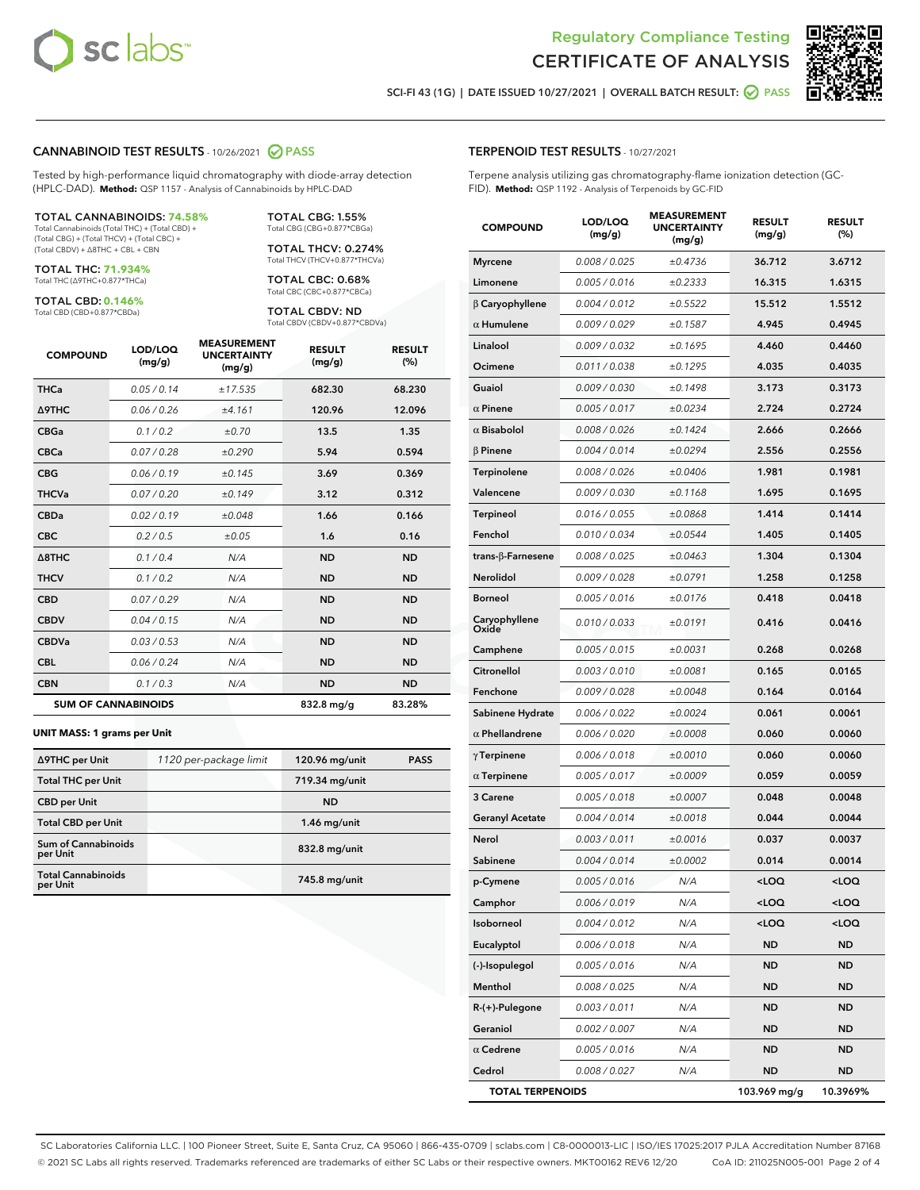



SCI-FI 43 (1G) | DATE ISSUED 10/27/2021 | OVERALL BATCH RESULT: 2 PASS

#### CANNABINOID TEST RESULTS - 10/26/2021 2 PASS

Tested by high-performance liquid chromatography with diode-array detection (HPLC-DAD). **Method:** QSP 1157 - Analysis of Cannabinoids by HPLC-DAD

#### TOTAL CANNABINOIDS: **74.58%**

Total Cannabinoids (Total THC) + (Total CBD) + (Total CBG) + (Total THCV) + (Total CBC) + (Total CBDV) + ∆8THC + CBL + CBN

TOTAL THC: **71.934%** Total THC (∆9THC+0.877\*THCa)

TOTAL CBD: **0.146%** Total CBD (CBD+0.877\*CBDa)

TOTAL CBG: 1.55% Total CBG (CBG+0.877\*CBGa)

TOTAL THCV: 0.274% Total THCV (THCV+0.877\*THCVa)

TOTAL CBC: 0.68% Total CBC (CBC+0.877\*CBCa)

TOTAL CBDV: ND Total CBDV (CBDV+0.877\*CBDVa)

| <b>COMPOUND</b>            | LOD/LOQ<br>(mg/g) | <b>MEASUREMENT</b><br><b>UNCERTAINTY</b><br>(mg/g) | <b>RESULT</b><br>(mg/g) | <b>RESULT</b><br>(%) |
|----------------------------|-------------------|----------------------------------------------------|-------------------------|----------------------|
| <b>THCa</b>                | 0.05/0.14         | ±17.535                                            | 682.30                  | 68.230               |
| <b>A9THC</b>               | 0.06 / 0.26       | ±4.161                                             | 120.96                  | 12.096               |
| <b>CBGa</b>                | 0.1/0.2           | ±0.70                                              | 13.5                    | 1.35                 |
| <b>CBCa</b>                | 0.07 / 0.28       | ±0.290                                             | 5.94                    | 0.594                |
| <b>CBG</b>                 | 0.06/0.19         | ±0.145                                             | 3.69                    | 0.369                |
| <b>THCVa</b>               | 0.07/0.20         | ±0.149                                             | 3.12                    | 0.312                |
| <b>CBDa</b>                | 0.02/0.19         | ±0.048                                             | 1.66                    | 0.166                |
| <b>CBC</b>                 | 0.2 / 0.5         | ±0.05                                              | 1.6                     | 0.16                 |
| A8THC                      | 0.1 / 0.4         | N/A                                                | <b>ND</b>               | <b>ND</b>            |
| <b>THCV</b>                | 0.1 / 0.2         | N/A                                                | <b>ND</b>               | <b>ND</b>            |
| <b>CBD</b>                 | 0.07/0.29         | N/A                                                | <b>ND</b>               | <b>ND</b>            |
| <b>CBDV</b>                | 0.04 / 0.15       | N/A                                                | <b>ND</b>               | <b>ND</b>            |
| <b>CBDVa</b>               | 0.03 / 0.53       | N/A                                                | <b>ND</b>               | <b>ND</b>            |
| <b>CBL</b>                 | 0.06 / 0.24       | N/A                                                | <b>ND</b>               | <b>ND</b>            |
| <b>CBN</b>                 | 0.1/0.3           | N/A                                                | <b>ND</b>               | <b>ND</b>            |
| <b>SUM OF CANNABINOIDS</b> |                   |                                                    | 832.8 mg/g              | 83.28%               |

#### **UNIT MASS: 1 grams per Unit**

| ∆9THC per Unit                        | 1120 per-package limit | 120.96 mg/unit | <b>PASS</b> |
|---------------------------------------|------------------------|----------------|-------------|
| <b>Total THC per Unit</b>             |                        | 719.34 mg/unit |             |
| <b>CBD</b> per Unit                   |                        | <b>ND</b>      |             |
| <b>Total CBD per Unit</b>             |                        | $1.46$ mg/unit |             |
| Sum of Cannabinoids<br>per Unit       |                        | 832.8 mg/unit  |             |
| <b>Total Cannabinoids</b><br>per Unit |                        | 745.8 mg/unit  |             |

#### TERPENOID TEST RESULTS - 10/27/2021

Terpene analysis utilizing gas chromatography-flame ionization detection (GC-FID). **Method:** QSP 1192 - Analysis of Terpenoids by GC-FID

| <b>COMPOUND</b>           | LOD/LOQ<br>(mg/g) | <b>MEASUREMENT</b><br><b>UNCERTAINTY</b><br>(mg/g) | <b>RESULT</b><br>(mg/g)                          | <b>RESULT</b><br>(%) |
|---------------------------|-------------------|----------------------------------------------------|--------------------------------------------------|----------------------|
| <b>Myrcene</b>            | 0.008 / 0.025     | ±0.4736                                            | 36.712                                           | 3.6712               |
| Limonene                  | 0.005 / 0.016     | ±0.2333                                            | 16.315                                           | 1.6315               |
| $\beta$ Caryophyllene     | 0.004 / 0.012     | ±0.5522                                            | 15.512                                           | 1.5512               |
| $\alpha$ Humulene         | 0.009 / 0.029     | ±0.1587                                            | 4.945                                            | 0.4945               |
| Linalool                  | 0.009 / 0.032     | ±0.1695                                            | 4.460                                            | 0.4460               |
| Ocimene                   | 0.011 / 0.038     | ±0.1295                                            | 4.035                                            | 0.4035               |
| Guaiol                    | 0.009 / 0.030     | ±0.1498                                            | 3.173                                            | 0.3173               |
| $\alpha$ Pinene           | 0.005 / 0.017     | ±0.0234                                            | 2.724                                            | 0.2724               |
| $\alpha$ Bisabolol        | 0.008 / 0.026     | ±0.1424                                            | 2.666                                            | 0.2666               |
| $\beta$ Pinene            | 0.004 / 0.014     | ±0.0294                                            | 2.556                                            | 0.2556               |
| Terpinolene               | 0.008 / 0.026     | ±0.0406                                            | 1.981                                            | 0.1981               |
| Valencene                 | 0.009 / 0.030     | ±0.1168                                            | 1.695                                            | 0.1695               |
| <b>Terpineol</b>          | 0.016 / 0.055     | ±0.0868                                            | 1.414                                            | 0.1414               |
| Fenchol                   | 0.010 / 0.034     | ±0.0544                                            | 1.405                                            | 0.1405               |
| trans- $\beta$ -Farnesene | 0.008 / 0.025     | ±0.0463                                            | 1.304                                            | 0.1304               |
| Nerolidol                 | 0.009 / 0.028     | ±0.0791                                            | 1.258                                            | 0.1258               |
| <b>Borneol</b>            | 0.005 / 0.016     | ±0.0176                                            | 0.418                                            | 0.0418               |
| Caryophyllene<br>Oxide    | 0.010 / 0.033     | ±0.0191                                            | 0.416                                            | 0.0416               |
| Camphene                  | 0.005 / 0.015     | ±0.0031                                            | 0.268                                            | 0.0268               |
| Citronellol               | 0.003 / 0.010     | ±0.0081                                            | 0.165                                            | 0.0165               |
| Fenchone                  | 0.009 / 0.028     | ±0.0048                                            | 0.164                                            | 0.0164               |
| Sabinene Hydrate          | 0.006 / 0.022     | ±0.0024                                            | 0.061                                            | 0.0061               |
| $\alpha$ Phellandrene     | 0.006 / 0.020     | ±0.0008                                            | 0.060                                            | 0.0060               |
| $\gamma$ Terpinene        | 0.006 / 0.018     | ±0.0010                                            | 0.060                                            | 0.0060               |
| $\alpha$ Terpinene        | 0.005 / 0.017     | ±0.0009                                            | 0.059                                            | 0.0059               |
| 3 Carene                  | 0.005 / 0.018     | ±0.0007                                            | 0.048                                            | 0.0048               |
| <b>Geranyl Acetate</b>    | 0.004 / 0.014     | ±0.0018                                            | 0.044                                            | 0.0044               |
| Nerol                     | 0.003 / 0.011     | ±0.0016                                            | 0.037                                            | 0.0037               |
| Sabinene                  | 0.004 / 0.014     | ±0.0002                                            | 0.014                                            | 0.0014               |
| p-Cymene                  | 0.005 / 0.016     | N/A                                                | <loq< th=""><th><loq< th=""></loq<></th></loq<>  | <loq< th=""></loq<>  |
| Camphor                   | 0.006 / 0.019     | N/A                                                | <loq< th=""><th><loq< th=""></loq<></th></loq<>  | <loq< th=""></loq<>  |
| Isoborneol                | 0.004 / 0.012     | N/A                                                | <loq< th=""><th><math>&lt;</math>LOQ</th></loq<> | $<$ LOQ              |
| Eucalyptol                | 0.006 / 0.018     | N/A                                                | <b>ND</b>                                        | <b>ND</b>            |
| (-)-Isopulegol            | 0.005 / 0.016     | N/A                                                | ND                                               | ND                   |
| Menthol                   | 0.008 / 0.025     | N/A                                                | ND                                               | ND                   |
| R-(+)-Pulegone            | 0.003 / 0.011     | N/A                                                | <b>ND</b>                                        | ND                   |
| Geraniol                  | 0.002 / 0.007     | N/A                                                | ND                                               | ND                   |
| $\alpha$ Cedrene          | 0.005 / 0.016     | N/A                                                | ND                                               | ND                   |
| Cedrol                    | 0.008 / 0.027     | N/A                                                | <b>ND</b>                                        | ND                   |
| <b>TOTAL TERPENOIDS</b>   |                   |                                                    | 103.969 mg/g                                     | 10.3969%             |

SC Laboratories California LLC. | 100 Pioneer Street, Suite E, Santa Cruz, CA 95060 | 866-435-0709 | sclabs.com | C8-0000013-LIC | ISO/IES 17025:2017 PJLA Accreditation Number 87168 © 2021 SC Labs all rights reserved. Trademarks referenced are trademarks of either SC Labs or their respective owners. MKT00162 REV6 12/20 CoA ID: 211025N005-001 Page 2 of 4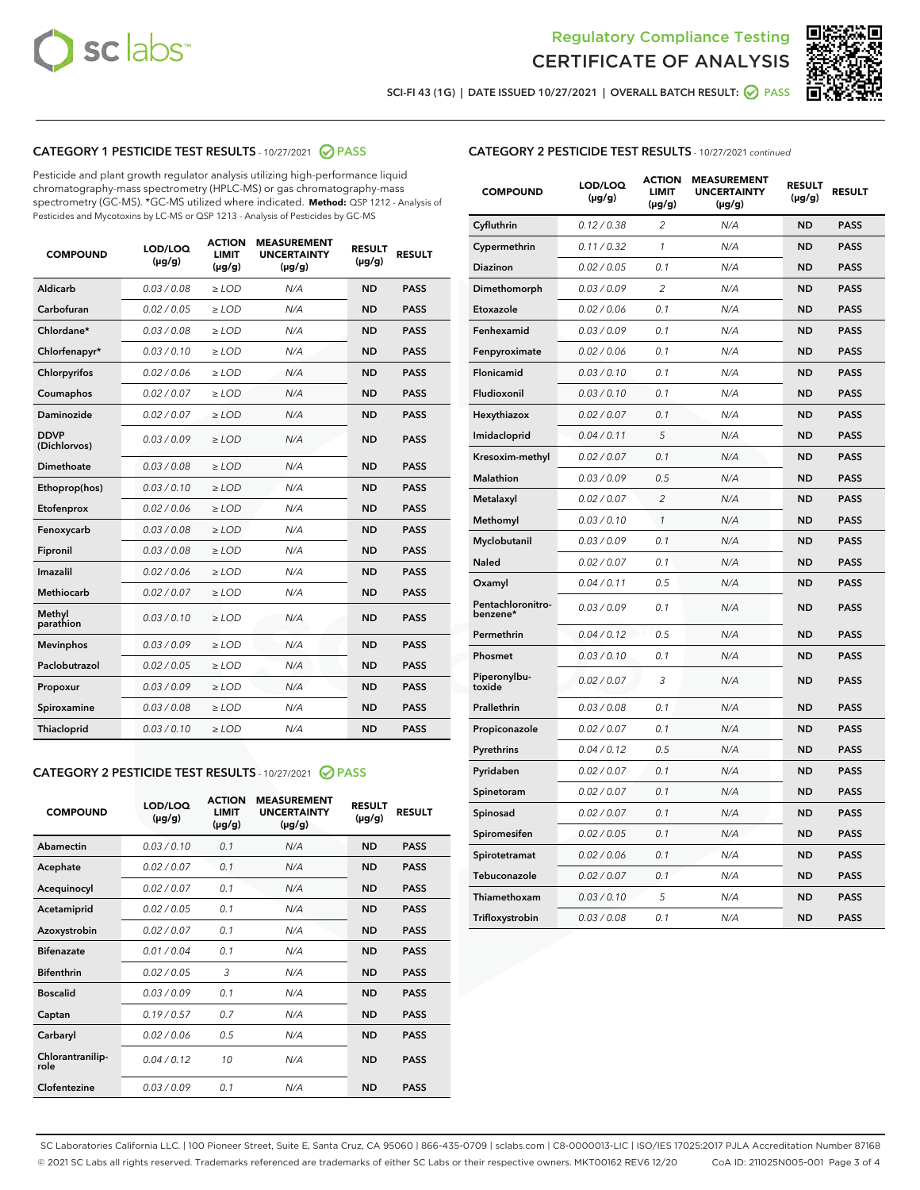



SCI-FI 43 (1G) | DATE ISSUED 10/27/2021 | OVERALL BATCH RESULT: O PASS

## CATEGORY 1 PESTICIDE TEST RESULTS - 10/27/2021 2 PASS

Pesticide and plant growth regulator analysis utilizing high-performance liquid chromatography-mass spectrometry (HPLC-MS) or gas chromatography-mass spectrometry (GC-MS). \*GC-MS utilized where indicated. **Method:** QSP 1212 - Analysis of Pesticides and Mycotoxins by LC-MS or QSP 1213 - Analysis of Pesticides by GC-MS

| <b>COMPOUND</b>             | LOD/LOQ<br>$(\mu g/g)$ | <b>ACTION</b><br><b>LIMIT</b><br>$(\mu q/q)$ | <b>MEASUREMENT</b><br><b>UNCERTAINTY</b><br>$(\mu g/g)$ | <b>RESULT</b><br>$(\mu g/g)$ | <b>RESULT</b> |
|-----------------------------|------------------------|----------------------------------------------|---------------------------------------------------------|------------------------------|---------------|
| Aldicarb                    | 0.03/0.08              | $\ge$ LOD                                    | N/A                                                     | <b>ND</b>                    | <b>PASS</b>   |
| Carbofuran                  | 0.02 / 0.05            | $\ge$ LOD                                    | N/A                                                     | <b>ND</b>                    | <b>PASS</b>   |
| Chlordane*                  | 0.03 / 0.08            | $\ge$ LOD                                    | N/A                                                     | <b>ND</b>                    | <b>PASS</b>   |
| Chlorfenapyr*               | 0.03/0.10              | $\ge$ LOD                                    | N/A                                                     | <b>ND</b>                    | <b>PASS</b>   |
| Chlorpyrifos                | 0.02 / 0.06            | $\ge$ LOD                                    | N/A                                                     | <b>ND</b>                    | <b>PASS</b>   |
| Coumaphos                   | 0.02 / 0.07            | $\ge$ LOD                                    | N/A                                                     | <b>ND</b>                    | <b>PASS</b>   |
| Daminozide                  | 0.02 / 0.07            | $\ge$ LOD                                    | N/A                                                     | <b>ND</b>                    | <b>PASS</b>   |
| <b>DDVP</b><br>(Dichlorvos) | 0.03/0.09              | $\ge$ LOD                                    | N/A                                                     | <b>ND</b>                    | <b>PASS</b>   |
| Dimethoate                  | 0.03 / 0.08            | $\ge$ LOD                                    | N/A                                                     | <b>ND</b>                    | <b>PASS</b>   |
| Ethoprop(hos)               | 0.03/0.10              | $\ge$ LOD                                    | N/A                                                     | <b>ND</b>                    | <b>PASS</b>   |
| Etofenprox                  | 0.02/0.06              | $>$ LOD                                      | N/A                                                     | <b>ND</b>                    | <b>PASS</b>   |
| Fenoxycarb                  | 0.03 / 0.08            | $\ge$ LOD                                    | N/A                                                     | <b>ND</b>                    | <b>PASS</b>   |
| Fipronil                    | 0.03/0.08              | $>$ LOD                                      | N/A                                                     | <b>ND</b>                    | <b>PASS</b>   |
| Imazalil                    | 0.02 / 0.06            | $\ge$ LOD                                    | N/A                                                     | <b>ND</b>                    | <b>PASS</b>   |
| Methiocarb                  | 0.02 / 0.07            | $\ge$ LOD                                    | N/A                                                     | <b>ND</b>                    | <b>PASS</b>   |
| Methyl<br>parathion         | 0.03/0.10              | $>$ LOD                                      | N/A                                                     | <b>ND</b>                    | <b>PASS</b>   |
| <b>Mevinphos</b>            | 0.03/0.09              | $>$ LOD                                      | N/A                                                     | <b>ND</b>                    | <b>PASS</b>   |
| Paclobutrazol               | 0.02 / 0.05            | $>$ LOD                                      | N/A                                                     | <b>ND</b>                    | <b>PASS</b>   |
| Propoxur                    | 0.03/0.09              | $\ge$ LOD                                    | N/A                                                     | <b>ND</b>                    | <b>PASS</b>   |
| Spiroxamine                 | 0.03 / 0.08            | $\ge$ LOD                                    | N/A                                                     | <b>ND</b>                    | <b>PASS</b>   |
| Thiacloprid                 | 0.03/0.10              | $\ge$ LOD                                    | N/A                                                     | <b>ND</b>                    | <b>PASS</b>   |

#### CATEGORY 2 PESTICIDE TEST RESULTS - 10/27/2021 @ PASS

| <b>COMPOUND</b>          | LOD/LOO<br>$(\mu g/g)$ | <b>ACTION</b><br>LIMIT<br>$(\mu g/g)$ | <b>MEASUREMENT</b><br><b>UNCERTAINTY</b><br>$(\mu g/g)$ | <b>RESULT</b><br>$(\mu g/g)$ | <b>RESULT</b> |  |
|--------------------------|------------------------|---------------------------------------|---------------------------------------------------------|------------------------------|---------------|--|
| Abamectin                | 0.03/0.10              | 0.1                                   | N/A                                                     | <b>ND</b>                    | <b>PASS</b>   |  |
| Acephate                 | 0.02/0.07              | 0.1                                   | N/A                                                     | <b>ND</b>                    | <b>PASS</b>   |  |
| Acequinocyl              | 0.02/0.07              | 0.1                                   | N/A                                                     | <b>ND</b>                    | <b>PASS</b>   |  |
| Acetamiprid              | 0.02 / 0.05            | 0.1                                   | N/A                                                     | <b>ND</b>                    | <b>PASS</b>   |  |
| Azoxystrobin             | 0.02/0.07              | 0.1                                   | N/A                                                     | <b>ND</b>                    | <b>PASS</b>   |  |
| <b>Bifenazate</b>        | 0.01 / 0.04            | 0.1                                   | N/A                                                     | <b>ND</b>                    | <b>PASS</b>   |  |
| <b>Bifenthrin</b>        | 0.02 / 0.05            | 3                                     | N/A                                                     | <b>ND</b>                    | <b>PASS</b>   |  |
| <b>Boscalid</b>          | 0.03/0.09              | 0.1                                   | N/A                                                     | <b>ND</b>                    | <b>PASS</b>   |  |
| Captan                   | 0.19/0.57              | 0.7                                   | N/A                                                     | <b>ND</b>                    | <b>PASS</b>   |  |
| Carbaryl                 | 0.02/0.06              | 0.5                                   | N/A                                                     | <b>ND</b>                    | <b>PASS</b>   |  |
| Chlorantranilip-<br>role | 0.04/0.12              | 10                                    | N/A                                                     | <b>ND</b>                    | <b>PASS</b>   |  |
| Clofentezine             | 0.03/0.09              | 0.1                                   | N/A                                                     | <b>ND</b>                    | <b>PASS</b>   |  |

### CATEGORY 2 PESTICIDE TEST RESULTS - 10/27/2021 continued

| <b>COMPOUND</b>               | LOD/LOQ<br>(µg/g) | <b>ACTION</b><br>LIMIT<br>$(\mu g/g)$ | <b>MEASUREMENT</b><br><b>UNCERTAINTY</b><br>(µg/g) | <b>RESULT</b><br>(µg/g) | <b>RESULT</b> |
|-------------------------------|-------------------|---------------------------------------|----------------------------------------------------|-------------------------|---------------|
| Cyfluthrin                    | 0.12 / 0.38       | 2                                     | N/A                                                | ND                      | <b>PASS</b>   |
| Cypermethrin                  | 0.11 / 0.32       | 1                                     | N/A                                                | ND                      | PASS          |
| Diazinon                      | 0.02 / 0.05       | 0.1                                   | N/A                                                | ND                      | PASS          |
| Dimethomorph                  | 0.03 / 0.09       | $\overline{c}$                        | N/A                                                | <b>ND</b>               | <b>PASS</b>   |
| Etoxazole                     | 0.02 / 0.06       | 0.1                                   | N/A                                                | ND                      | <b>PASS</b>   |
| Fenhexamid                    | 0.03 / 0.09       | 0.1                                   | N/A                                                | ND                      | <b>PASS</b>   |
| Fenpyroximate                 | 0.02 / 0.06       | 0.1                                   | N/A                                                | <b>ND</b>               | <b>PASS</b>   |
| Flonicamid                    | 0.03 / 0.10       | 0.1                                   | N/A                                                | <b>ND</b>               | <b>PASS</b>   |
| Fludioxonil                   | 0.03 / 0.10       | 0.1                                   | N/A                                                | <b>ND</b>               | <b>PASS</b>   |
| Hexythiazox                   | 0.02 / 0.07       | 0.1                                   | N/A                                                | <b>ND</b>               | PASS          |
| Imidacloprid                  | 0.04 / 0.11       | 5                                     | N/A                                                | <b>ND</b>               | <b>PASS</b>   |
| Kresoxim-methyl               | 0.02 / 0.07       | 0.1                                   | N/A                                                | ND                      | <b>PASS</b>   |
| Malathion                     | 0.03 / 0.09       | 0.5                                   | N/A                                                | <b>ND</b>               | <b>PASS</b>   |
| Metalaxyl                     | 0.02 / 0.07       | $\overline{c}$                        | N/A                                                | <b>ND</b>               | <b>PASS</b>   |
| Methomyl                      | 0.03 / 0.10       | 1                                     | N/A                                                | ND                      | <b>PASS</b>   |
| Myclobutanil                  | 0.03/0.09         | 0.1                                   | N/A                                                | <b>ND</b>               | <b>PASS</b>   |
| Naled                         | 0.02 / 0.07       | 0.1                                   | N/A                                                | ND                      | <b>PASS</b>   |
| Oxamyl                        | 0.04 / 0.11       | 0.5                                   | N/A                                                | ND                      | <b>PASS</b>   |
| Pentachloronitro-<br>benzene* | 0.03 / 0.09       | 0.1                                   | N/A                                                | ND                      | <b>PASS</b>   |
| Permethrin                    | 0.04/0.12         | 0.5                                   | N/A                                                | <b>ND</b>               | <b>PASS</b>   |
| Phosmet                       | 0.03 / 0.10       | 0.1                                   | N/A                                                | ND                      | PASS          |
| Piperonylbu-<br>toxide        | 0.02 / 0.07       | 3                                     | N/A                                                | <b>ND</b>               | <b>PASS</b>   |
| Prallethrin                   | 0.03 / 0.08       | 0.1                                   | N/A                                                | <b>ND</b>               | <b>PASS</b>   |
| Propiconazole                 | 0.02 / 0.07       | 0.1                                   | N/A                                                | ND                      | <b>PASS</b>   |
| Pyrethrins                    | 0.04 / 0.12       | 0.5                                   | N/A                                                | ND                      | PASS          |
| Pyridaben                     | 0.02 / 0.07       | 0.1                                   | N/A                                                | <b>ND</b>               | <b>PASS</b>   |
| Spinetoram                    | 0.02 / 0.07       | 0.1                                   | N/A                                                | ND                      | <b>PASS</b>   |
| Spinosad                      | 0.02 / 0.07       | 0.1                                   | N/A                                                | ND                      | PASS          |
| Spiromesifen                  | 0.02 / 0.05       | 0.1                                   | N/A                                                | <b>ND</b>               | <b>PASS</b>   |
| Spirotetramat                 | 0.02 / 0.06       | 0.1                                   | N/A                                                | ND                      | <b>PASS</b>   |
| Tebuconazole                  | 0.02 / 0.07       | 0.1                                   | N/A                                                | ND                      | <b>PASS</b>   |
| Thiamethoxam                  | 0.03 / 0.10       | 5                                     | N/A                                                | <b>ND</b>               | <b>PASS</b>   |
| Trifloxystrobin               | 0.03 / 0.08       | 0.1                                   | N/A                                                | <b>ND</b>               | <b>PASS</b>   |

SC Laboratories California LLC. | 100 Pioneer Street, Suite E, Santa Cruz, CA 95060 | 866-435-0709 | sclabs.com | C8-0000013-LIC | ISO/IES 17025:2017 PJLA Accreditation Number 87168 © 2021 SC Labs all rights reserved. Trademarks referenced are trademarks of either SC Labs or their respective owners. MKT00162 REV6 12/20 CoA ID: 211025N005-001 Page 3 of 4